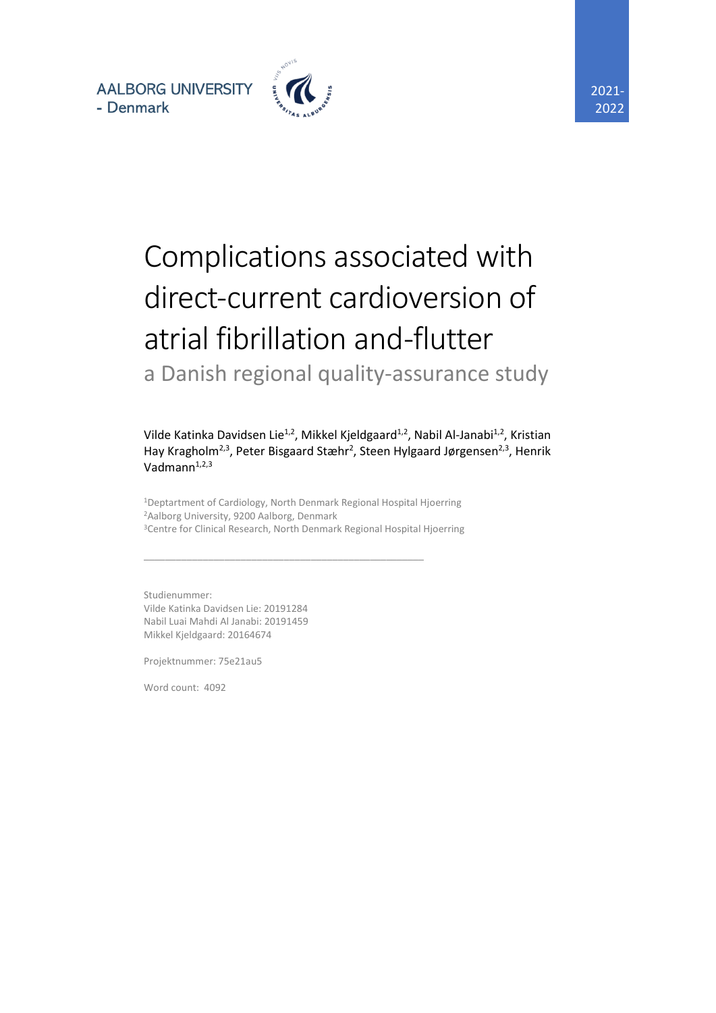**AALBORG UNIVERSITY** - Denmark



# Complications associated with direct-current cardioversion of atrial fibrillation and -flutter a Danish regional quality-assurance study

Vilde Katinka Davidsen Lie<sup>1,2</sup>, Mikkel Kjeldgaard<sup>1,2</sup>, Nabil Al-Janabi<sup>1,2</sup>, Kristian Hay Kragholm<sup>2,3</sup>, Peter Bisgaard Stæhr<sup>2</sup>, Steen Hylgaard Jørgensen<sup>2,3</sup>, Henrik Vadmann $1,2,3$ 

<sup>1</sup>Deptartment of Cardiology, North Denmark Regional Hospital Hjoerring <sup>2</sup>Aalborg University, 9200 Aalborg, Denmark <sup>3</sup>Centre for Clinical Research, North Denmark Regional Hospital Hjoerring

\_\_\_\_\_\_\_\_\_\_\_\_\_\_\_\_\_\_\_\_\_\_\_\_\_\_\_\_\_\_\_\_\_\_\_\_\_\_\_\_\_\_\_\_\_\_\_\_\_\_\_\_

Studienummer: Vilde Katinka Davidsen Lie: 20191284 Nabil Luai Mahdi Al Janabi: 20191459 Mikkel Kjeldgaard: 20164674

Projektnummer: 75e21au5

Word count: 4092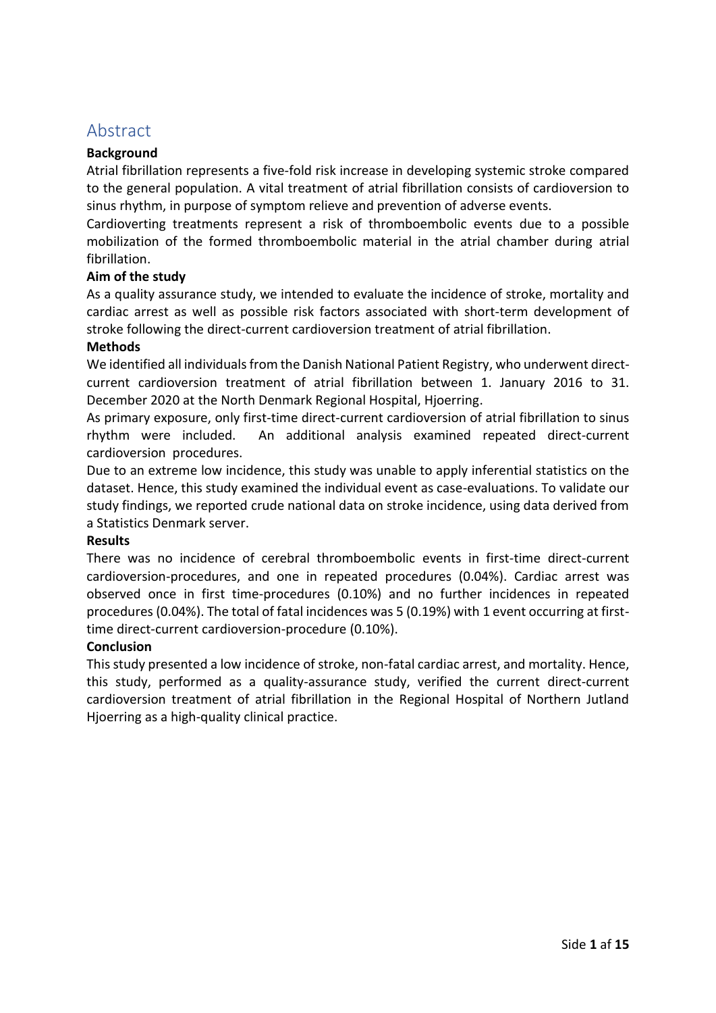## Abstract

#### **Background**

Atrial fibrillation represents a five-fold risk increase in developing systemic stroke compared to the general population. A vital treatment of atrial fibrillation consists of cardioversion to sinus rhythm, in purpose of symptom relieve and prevention of adverse events.

Cardioverting treatments represent a risk of thromboembolic events due to a possible mobilization of the formed thromboembolic material in the atrial chamber during atrial fibrillation.

#### **Aim of the study**

As a quality assurance study, we intended to evaluate the incidence of stroke, mortality and cardiac arrest as well as possible risk factors associated with short-term development of stroke following the direct-current cardioversion treatment of atrial fibrillation.

#### **Methods**

We identified all individuals from the Danish National Patient Registry, who underwent directcurrent cardioversion treatment of atrial fibrillation between 1. January 2016 to 31. December 2020 at the North Denmark Regional Hospital, Hjoerring.

As primary exposure, only first-time direct-current cardioversion of atrial fibrillation to sinus rhythm were included. An additional analysis examined repeated direct-current cardioversion procedures.

Due to an extreme low incidence, this study was unable to apply inferential statistics on the dataset. Hence, this study examined the individual event as case-evaluations. To validate our study findings, we reported crude national data on stroke incidence, using data derived from a Statistics Denmark server.

#### **Results**

There was no incidence of cerebral thromboembolic events in first-time direct-current cardioversion-procedures, and one in repeated procedures (0.04%). Cardiac arrest was observed once in first time-procedures (0.10%) and no further incidences in repeated procedures (0.04%). The total of fatal incidences was 5 (0.19%) with 1 event occurring at firsttime direct-current cardioversion-procedure (0.10%).

#### **Conclusion**

This study presented a low incidence of stroke, non-fatal cardiac arrest, and mortality. Hence, this study, performed as a quality-assurance study, verified the current direct-current cardioversion treatment of atrial fibrillation in the Regional Hospital of Northern Jutland Hjoerring as a high-quality clinical practice.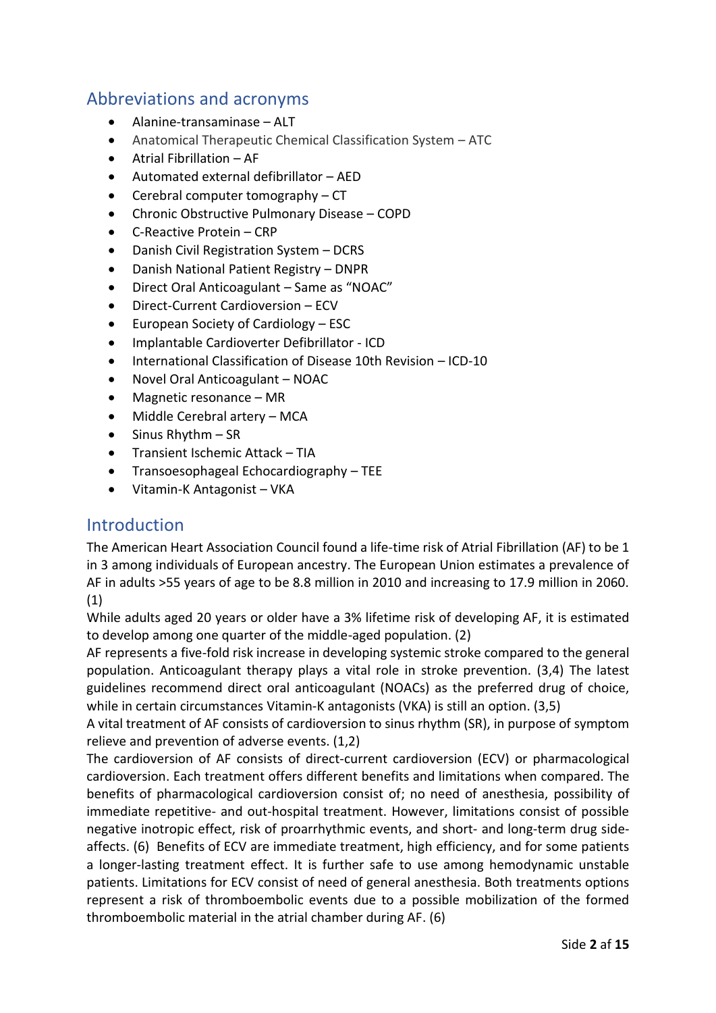# Abbreviations and acronyms

- Alanine-transaminase ALT
- Anatomical Therapeutic Chemical Classification System ATC
- Atrial Fibrillation AF
- Automated external defibrillator AED
- Cerebral computer tomography CT
- Chronic Obstructive Pulmonary Disease COPD
- C-Reactive Protein CRP
- Danish Civil Registration System DCRS
- Danish National Patient Registry DNPR
- Direct Oral Anticoagulant Same as "NOAC"
- Direct-Current Cardioversion ECV
- European Society of Cardiology ESC
- Implantable Cardioverter Defibrillator ICD
- International Classification of Disease 10th Revision ICD-10
- Novel Oral Anticoagulant NOAC
- Magnetic resonance MR
- Middle Cerebral artery MCA
- Sinus Rhythm SR
- Transient Ischemic Attack TIA
- Transoesophageal Echocardiography TEE
- Vitamin-K Antagonist VKA

## Introduction

The American Heart Association Council found a life-time risk of Atrial Fibrillation (AF) to be 1 in 3 among individuals of European ancestry. The European Union estimates a prevalence of AF in adults >55 years of age to be 8.8 million in 2010 and increasing to 17.9 million in 2060. (1)

While adults aged 20 years or older have a 3% lifetime risk of developing AF, it is estimated to develop among one quarter of the middle-aged population. (2)

AF represents a five-fold risk increase in developing systemic stroke compared to the general population. Anticoagulant therapy plays a vital role in stroke prevention. (3,4) The latest guidelines recommend direct oral anticoagulant (NOACs) as the preferred drug of choice, while in certain circumstances Vitamin-K antagonists (VKA) is still an option. (3,5)

A vital treatment of AF consists of cardioversion to sinus rhythm (SR), in purpose of symptom relieve and prevention of adverse events. (1,2)

The cardioversion of AF consists of direct-current cardioversion (ECV) or pharmacological cardioversion. Each treatment offers different benefits and limitations when compared. The benefits of pharmacological cardioversion consist of; no need of anesthesia, possibility of immediate repetitive- and out-hospital treatment. However, limitations consist of possible negative inotropic effect, risk of proarrhythmic events, and short- and long-term drug sideaffects. (6) Benefits of ECV are immediate treatment, high efficiency, and for some patients a longer-lasting treatment effect. It is further safe to use among hemodynamic unstable patients. Limitations for ECV consist of need of general anesthesia. Both treatments options represent a risk of thromboembolic events due to a possible mobilization of the formed thromboembolic material in the atrial chamber during AF. (6)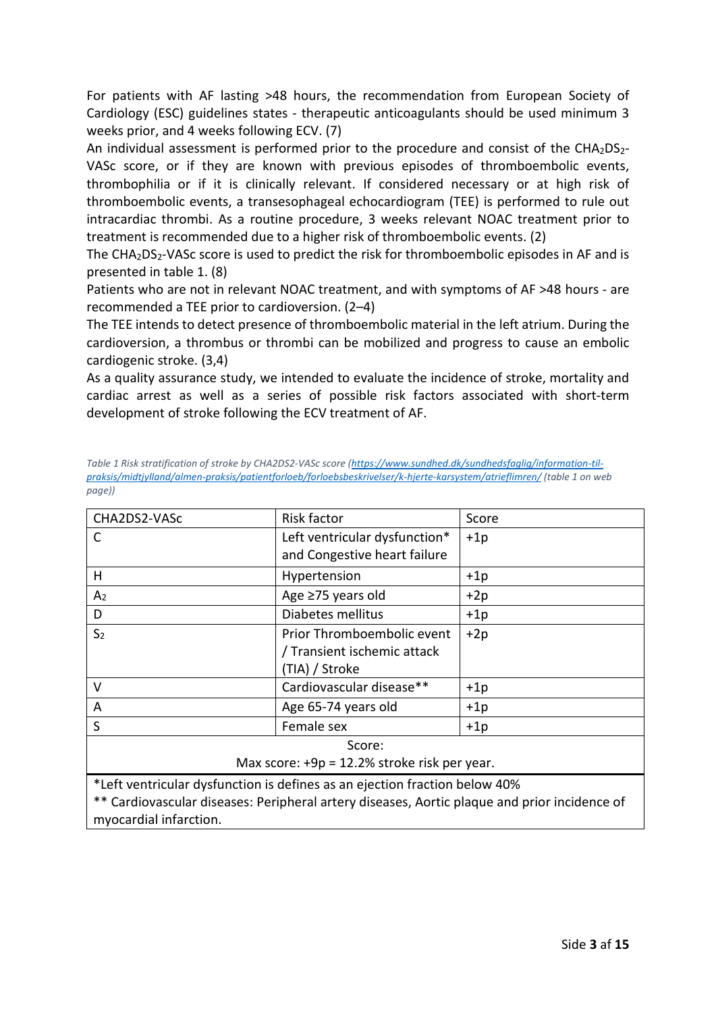For patients with AF lasting >48 hours, the recommendation from European Society of Cardiology (ESC) guidelines states - therapeutic anticoagulants should be used minimum 3 weeks prior, and 4 weeks following ECV. (7)

An individual assessment is performed prior to the procedure and consist of the CHA2DS2-VASc score, or if they are known with previous episodes of thromboembolic events, thrombophilia or if it is clinically relevant. If considered necessary or at high risk of thromboembolic events, a transesophageal echocardiogram (TEE) is performed to rule out intracardiac thrombi. As a routine procedure, 3 weeks relevant NOAC treatment prior to treatment is recommended due to a higher risk of thromboembolic events. (2)

The  $CHA<sub>2</sub>DS<sub>2</sub>-VASC score is used to predict the risk for chromboembolic episodes in AF and is$ presented in table 1. (8)

Patients who are not in relevant NOAC treatment, and with symptoms of AF >48 hours - are recommended a TEE prior to cardioversion. (2–4)

The TEE intends to detect presence of thromboembolic material in the left atrium. During the cardioversion, a thrombus or thrombi can be mobilized and progress to cause an embolic cardiogenic stroke. (3,4)

As a quality assurance study, we intended to evaluate the incidence of stroke, mortality and cardiac arrest as well as a series of possible risk factors associated with short-term development of stroke following the ECV treatment of AF.

<span id="page-3-0"></span>

| Table 1 Risk stratification of stroke by CHA2DS2-VASc score (https://www.sundhed.dk/sundhedsfaglig/information-til-    |  |
|------------------------------------------------------------------------------------------------------------------------|--|
| praksis/midtiylland/almen-praksis/patientforloeb/forloebsbeskrivelser/k-hjerte-karsystem/atrieflimren/ (table 1 on web |  |
| page))                                                                                                                 |  |

| CHA2DS2-VASc                                                               | Risk factor                   | Score |  |
|----------------------------------------------------------------------------|-------------------------------|-------|--|
| C                                                                          | Left ventricular dysfunction* | $+1p$ |  |
|                                                                            | and Congestive heart failure  |       |  |
| H                                                                          | Hypertension                  | $+1p$ |  |
| A <sub>2</sub>                                                             | Age ≥75 years old             | $+2p$ |  |
| D                                                                          | Diabetes mellitus             | $+1p$ |  |
| S <sub>2</sub>                                                             | Prior Thromboembolic event    | $+2p$ |  |
|                                                                            | / Transient ischemic attack   |       |  |
|                                                                            | (TIA) / Stroke                |       |  |
| V                                                                          | Cardiovascular disease**      | $+1p$ |  |
| A                                                                          | Age 65-74 years old           | $+1p$ |  |
| S                                                                          | Female sex                    | $+1p$ |  |
| Score:                                                                     |                               |       |  |
| Max score: +9p = 12.2% stroke risk per year.                               |                               |       |  |
| *Left ventricular dysfunction is defines as an ejection fraction below 40% |                               |       |  |

\*\* Cardiovascular diseases: Peripheral artery diseases, Aortic plaque and prior incidence of myocardial infarction.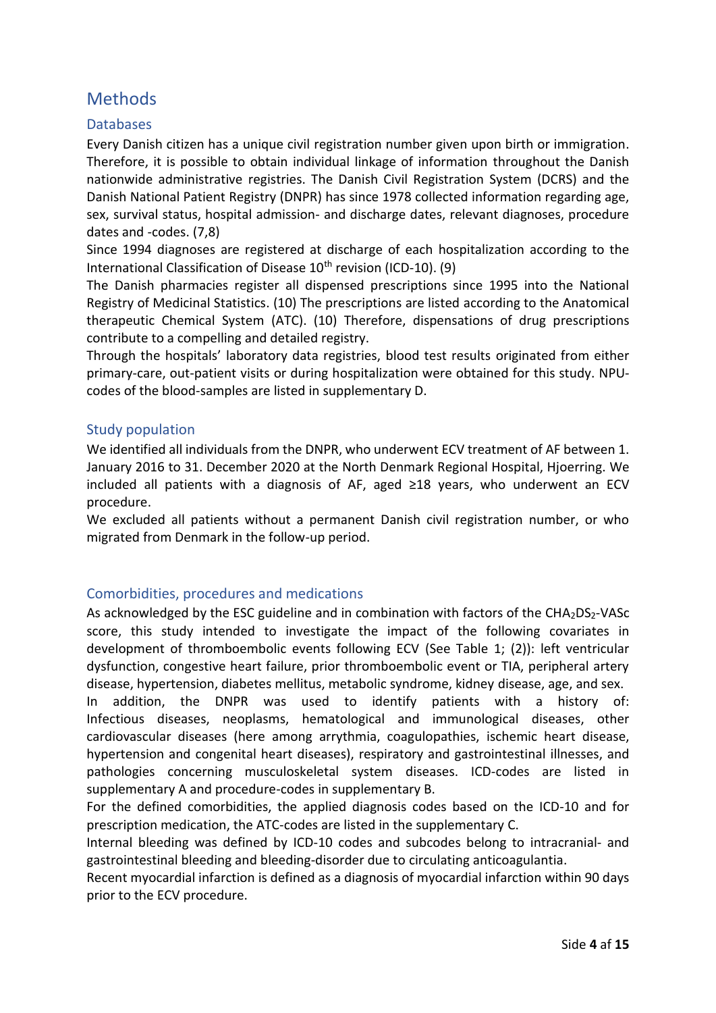# **Methods**

#### **Databases**

Every Danish citizen has a unique civil registration number given upon birth or immigration. Therefore, it is possible to obtain individual linkage of information throughout the Danish nationwide administrative registries. The Danish Civil Registration System (DCRS) and the Danish National Patient Registry (DNPR) has since 1978 collected information regarding age, sex, survival status, hospital admission- and discharge dates, relevant diagnoses, procedure dates and -codes. (7,8)

Since 1994 diagnoses are registered at discharge of each hospitalization according to the International Classification of Disease  $10<sup>th</sup>$  revision (ICD-10). (9)

The Danish pharmacies register all dispensed prescriptions since 1995 into the National Registry of Medicinal Statistics. (10) The prescriptions are listed according to the Anatomical therapeutic Chemical System (ATC). (10) Therefore, dispensations of drug prescriptions contribute to a compelling and detailed registry.

Through the hospitals' laboratory data registries, blood test results originated from either primary-care, out-patient visits or during hospitalization were obtained for this study. NPUcodes of the blood-samples are listed in supplementary D.

#### Study population

We identified all individuals from the DNPR, who underwent ECV treatment of AF between 1. January 2016 to 31. December 2020 at the North Denmark Regional Hospital, Hjoerring. We included all patients with a diagnosis of AF, aged ≥18 years, who underwent an ECV procedure.

We excluded all patients without a permanent Danish civil registration number, or who migrated from Denmark in the follow-up period.

#### Comorbidities, procedures and medications

As acknowledged by the ESC guideline and in combination with factors of the CHA<sub>2</sub>DS<sub>2</sub>-VASc score, this study intended to investigate the impact of the following covariates in development of thromboembolic events following ECV (See [Table 1;](#page-3-0) (2)): left ventricular dysfunction, congestive heart failure, prior thromboembolic event or TIA, peripheral artery disease, hypertension, diabetes mellitus, metabolic syndrome, kidney disease, age, and sex.

In addition, the DNPR was used to identify patients with a history of: Infectious diseases, neoplasms, hematological and immunological diseases, other cardiovascular diseases (here among arrythmia, coagulopathies, ischemic heart disease, hypertension and congenital heart diseases), respiratory and gastrointestinal illnesses, and pathologies concerning musculoskeletal system diseases. ICD-codes are listed in supplementary A and procedure-codes in supplementary B.

For the defined comorbidities, the applied diagnosis codes based on the ICD-10 and for prescription medication, the ATC-codes are listed in the supplementary C.

Internal bleeding was defined by ICD-10 codes and subcodes belong to intracranial- and gastrointestinal bleeding and bleeding-disorder due to circulating anticoagulantia.

Recent myocardial infarction is defined as a diagnosis of myocardial infarction within 90 days prior to the ECV procedure.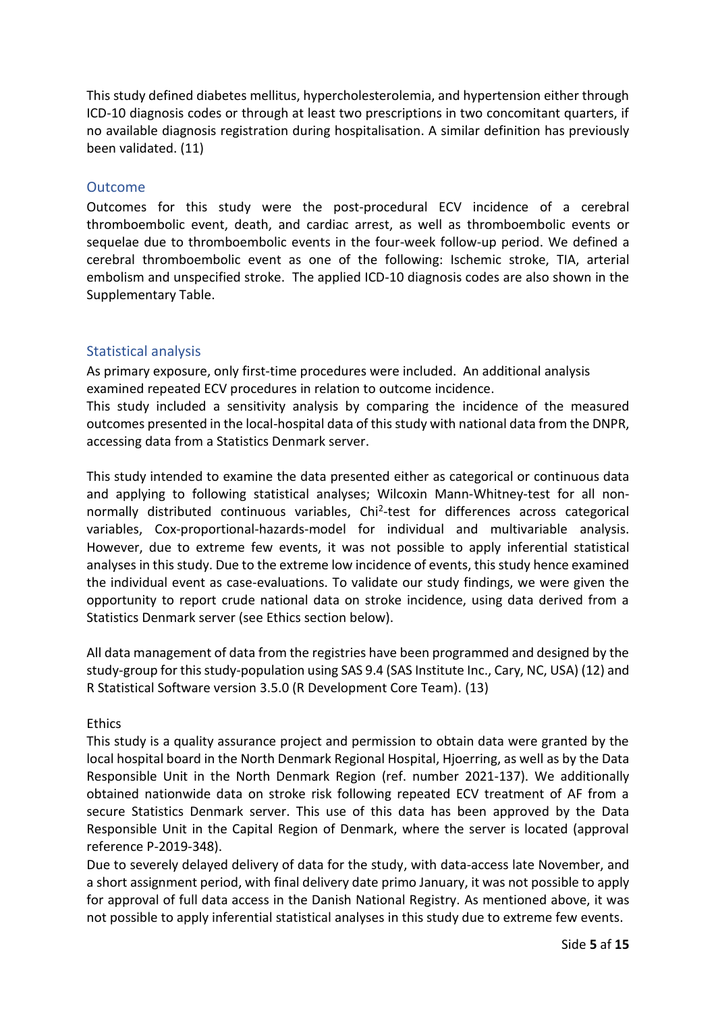This study defined diabetes mellitus, hypercholesterolemia, and hypertension either through ICD-10 diagnosis codes or through at least two prescriptions in two concomitant quarters, if no available diagnosis registration during hospitalisation. A similar definition has previously been validated. (11)

#### Outcome

Outcomes for this study were the post-procedural ECV incidence of a cerebral thromboembolic event, death, and cardiac arrest, as well as thromboembolic events or sequelae due to thromboembolic events in the four-week follow-up period. We defined a cerebral thromboembolic event as one of the following: Ischemic stroke, TIA, arterial embolism and unspecified stroke. The applied ICD-10 diagnosis codes are also shown in the Supplementary Table.

#### Statistical analysis

As primary exposure, only first-time procedures were included. An additional analysis examined repeated ECV procedures in relation to outcome incidence.

This study included a sensitivity analysis by comparing the incidence of the measured outcomes presented in the local-hospital data of this study with national data from the DNPR, accessing data from a Statistics Denmark server.

This study intended to examine the data presented either as categorical or continuous data and applying to following statistical analyses; Wilcoxin Mann-Whitney-test for all nonnormally distributed continuous variables, Chi<sup>2</sup>-test for differences across categorical variables, Cox-proportional-hazards-model for individual and multivariable analysis. However, due to extreme few events, it was not possible to apply inferential statistical analyses in this study. Due to the extreme low incidence of events, this study hence examined the individual event as case-evaluations. To validate our study findings, we were given the opportunity to report crude national data on stroke incidence, using data derived from a Statistics Denmark server (see Ethics section below).

All data management of data from the registries have been programmed and designed by the study-group for this study-population using SAS 9.4 (SAS Institute Inc., Cary, NC, USA) (12) and R Statistical Software version 3.5.0 (R Development Core Team). (13)

#### Ethics

This study is a quality assurance project and permission to obtain data were granted by the local hospital board in the North Denmark Regional Hospital, Hjoerring, as well as by the Data Responsible Unit in the North Denmark Region (ref. number 2021-137). We additionally obtained nationwide data on stroke risk following repeated ECV treatment of AF from a secure Statistics Denmark server. This use of this data has been approved by the Data Responsible Unit in the Capital Region of Denmark, where the server is located (approval reference P-2019-348).

Due to severely delayed delivery of data for the study, with data-access late November, and a short assignment period, with final delivery date primo January, it was not possible to apply for approval of full data access in the Danish National Registry. As mentioned above, it was not possible to apply inferential statistical analyses in this study due to extreme few events.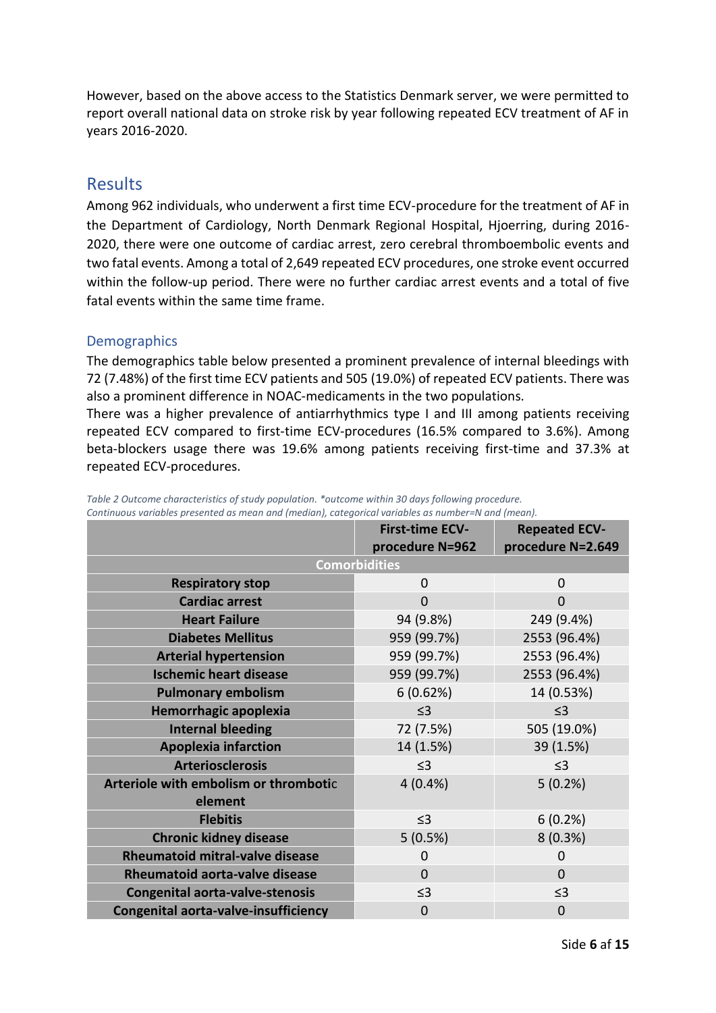However, based on the above access to the Statistics Denmark server, we were permitted to report overall national data on stroke risk by year following repeated ECV treatment of AF in years 2016-2020.

## **Results**

Among 962 individuals, who underwent a first time ECV-procedure for the treatment of AF in the Department of Cardiology, North Denmark Regional Hospital, Hjoerring, during 2016- 2020, there were one outcome of cardiac arrest, zero cerebral thromboembolic events and two fatal events. Among a total of 2,649 repeated ECV procedures, one stroke event occurred within the follow-up period. There were no further cardiac arrest events and a total of five fatal events within the same time frame.

#### **Demographics**

The demographics table below presented a prominent prevalence of internal bleedings with 72 (7.48%) of the first time ECV patients and 505 (19.0%) of repeated ECV patients. There was also a prominent difference in NOAC-medicaments in the two populations.

There was a higher prevalence of antiarrhythmics type I and III among patients receiving repeated ECV compared to first-time ECV-procedures (16.5% compared to 3.6%). Among beta-blockers usage there was 19.6% among patients receiving first-time and 37.3% at repeated ECV-procedures.

|                                        | <b>First-time ECV-</b> | <b>Repeated ECV-</b> |
|----------------------------------------|------------------------|----------------------|
|                                        | procedure N=962        | procedure N=2.649    |
|                                        | <b>Comorbidities</b>   |                      |
| <b>Respiratory stop</b>                | 0                      | $\mathbf 0$          |
| <b>Cardiac arrest</b>                  | $\overline{0}$         | $\Omega$             |
| <b>Heart Failure</b>                   | 94 (9.8%)              | 249 (9.4%)           |
| <b>Diabetes Mellitus</b>               | 959 (99.7%)            | 2553 (96.4%)         |
| <b>Arterial hypertension</b>           | 959 (99.7%)            | 2553 (96.4%)         |
| <b>Ischemic heart disease</b>          | 959 (99.7%)            | 2553 (96.4%)         |
| <b>Pulmonary embolism</b>              | 6(0.62%)               | 14 (0.53%)           |
| Hemorrhagic apoplexia                  | $\leq$ 3               | $\leq$ 3             |
| <b>Internal bleeding</b>               | 72 (7.5%)              | 505 (19.0%)          |
| <b>Apoplexia infarction</b>            | 14 (1.5%)              | 39 (1.5%)            |
| <b>Arteriosclerosis</b>                | $\leq$ 3               | $\leq$ 3             |
| Arteriole with embolism or thrombotic  | 4(0.4%                 | 5(0.2%)              |
| element                                |                        |                      |
| <b>Flebitis</b>                        | $\leq$ 3               | 6(0.2%)              |
| <b>Chronic kidney disease</b>          | 5(0.5%)                | 8(0.3%)              |
| <b>Rheumatoid mitral-valve disease</b> | $\Omega$               | 0                    |
| <b>Rheumatoid aorta-valve disease</b>  | $\overline{0}$         | $\Omega$             |
| <b>Congenital aorta-valve-stenosis</b> | $\leq$ 3               | $\leq$ 3             |
| Congenital aorta-valve-insufficiency   | $\mathbf 0$            | $\mathbf 0$          |

<span id="page-6-0"></span>*Table 2 Outcome characteristics of study population. \*outcome within 30 days following procedure. Continuous variables presented as mean and (median), categorical variables as number=N and (mean).*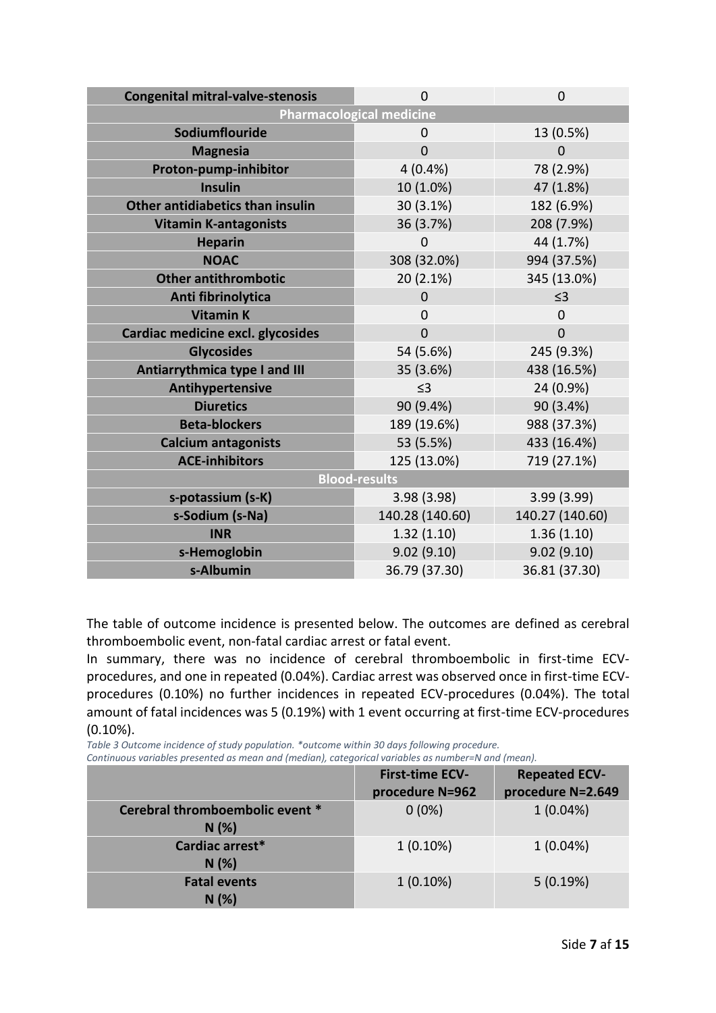| <b>Congenital mitral-valve-stenosis</b> | $\overline{0}$  | 0               |  |
|-----------------------------------------|-----------------|-----------------|--|
| <b>Pharmacological medicine</b>         |                 |                 |  |
| Sodiumflouride                          | 0               | 13 (0.5%)       |  |
| <b>Magnesia</b>                         | $\overline{0}$  | $\Omega$        |  |
| Proton-pump-inhibitor                   | 4(0.4%          | 78 (2.9%)       |  |
| <b>Insulin</b>                          | 10 (1.0%)       | 47 (1.8%)       |  |
| Other antidiabetics than insulin        | 30 (3.1%)       | 182 (6.9%)      |  |
| <b>Vitamin K-antagonists</b>            | 36 (3.7%)       | 208 (7.9%)      |  |
| <b>Heparin</b>                          | 0               | 44 (1.7%)       |  |
| <b>NOAC</b>                             | 308 (32.0%)     | 994 (37.5%)     |  |
| <b>Other antithrombotic</b>             | 20 (2.1%)       | 345 (13.0%)     |  |
| Anti fibrinolytica                      | $\Omega$        | $\leq$ 3        |  |
| <b>Vitamin K</b>                        | $\mathbf 0$     | $\Omega$        |  |
| Cardiac medicine excl. glycosides       | $\overline{0}$  | $\Omega$        |  |
| <b>Glycosides</b>                       | 54 (5.6%)       | 245 (9.3%)      |  |
| Antiarrythmica type I and III           | 35 (3.6%)       | 438 (16.5%)     |  |
| Antihypertensive                        | $\leq$ 3        | 24 (0.9%)       |  |
| <b>Diuretics</b>                        | 90 (9.4%)       | 90 (3.4%)       |  |
| <b>Beta-blockers</b>                    | 189 (19.6%)     | 988 (37.3%)     |  |
| <b>Calcium antagonists</b>              | 53 (5.5%)       | 433 (16.4%)     |  |
| <b>ACE-inhibitors</b>                   | 125 (13.0%)     | 719 (27.1%)     |  |
| <b>Blood-results</b>                    |                 |                 |  |
| s-potassium (s-K)                       | 3.98 (3.98)     | 3.99(3.99)      |  |
| s-Sodium (s-Na)                         | 140.28 (140.60) | 140.27 (140.60) |  |
| <b>INR</b>                              | 1.32(1.10)      | 1.36(1.10)      |  |
| s-Hemoglobin                            | 9.02(9.10)      | 9.02(9.10)      |  |
| s-Albumin                               | 36.79 (37.30)   | 36.81 (37.30)   |  |

The table of outcome incidence is presented below. The outcomes are defined as cerebral thromboembolic event, non-fatal cardiac arrest or fatal event.

In summary, there was no incidence of cerebral thromboembolic in first-time ECVprocedures, and one in repeated (0.04%). Cardiac arrest was observed once in first-time ECVprocedures (0.10%) no further incidences in repeated ECV-procedures (0.04%). The total amount of fatal incidences was 5 (0.19%) with 1 event occurring at first-time ECV-procedures (0.10%).

<span id="page-7-0"></span>*Table 3 Outcome incidence of study population. \*outcome within 30 days following procedure. Continuous variables presented as mean and (median), categorical variables as number=N and (mean).* 

|                                         | <b>First-time ECV-</b><br>procedure N=962 | <b>Repeated ECV-</b><br>procedure N=2.649 |
|-----------------------------------------|-------------------------------------------|-------------------------------------------|
| Cerebral thromboembolic event *<br>N(%) | $0(0\%)$                                  | $1(0.04\%)$                               |
| Cardiac arrest*<br>N(%)                 | $1(0.10\%)$                               | $1(0.04\%)$                               |
| <b>Fatal events</b><br>N(%)             | $1(0.10\%)$                               | 5(0.19%)                                  |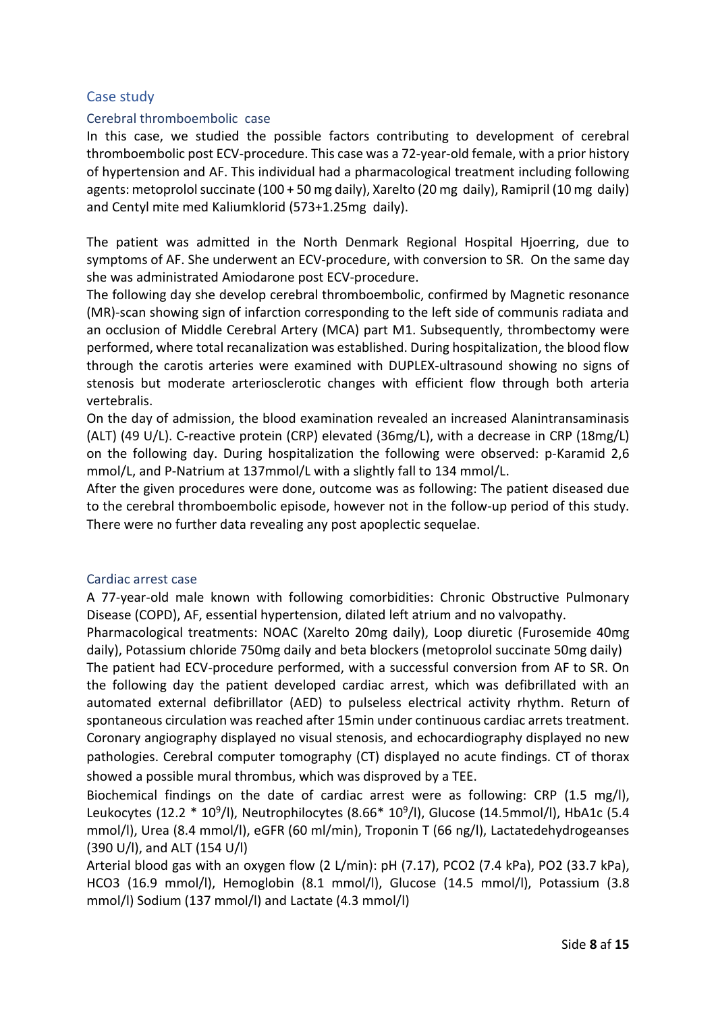#### Case study

#### Cerebral thromboembolic case

In this case, we studied the possible factors contributing to development of cerebral thromboembolic post ECV-procedure. This case was a 72-year-old female, with a prior history of hypertension and AF. This individual had a pharmacological treatment including following agents: metoprolol succinate (100 + 50 mg daily), Xarelto (20 mg daily), Ramipril (10 mg daily) and Centyl mite med Kaliumklorid (573+1.25mg daily).

The patient was admitted in the North Denmark Regional Hospital Hjoerring, due to symptoms of AF. She underwent an ECV-procedure, with conversion to SR. On the same day she was administrated Amiodarone post ECV-procedure.

The following day she develop cerebral thromboembolic, confirmed by Magnetic resonance (MR)-scan showing sign of infarction corresponding to the left side of communis radiata and an occlusion of Middle Cerebral Artery (MCA) part M1. Subsequently, thrombectomy were performed, where total recanalization was established. During hospitalization, the blood flow through the carotis arteries were examined with DUPLEX-ultrasound showing no signs of stenosis but moderate arteriosclerotic changes with efficient flow through both arteria vertebralis.

On the day of admission, the blood examination revealed an increased Alanintransaminasis (ALT) (49 U/L). C-reactive protein (CRP) elevated (36mg/L), with a decrease in CRP (18mg/L) on the following day. During hospitalization the following were observed: p-Karamid 2,6 mmol/L, and P-Natrium at 137mmol/L with a slightly fall to 134 mmol/L.

After the given procedures were done, outcome was as following: The patient diseased due to the cerebral thromboembolic episode, however not in the follow-up period of this study. There were no further data revealing any post apoplectic sequelae.

#### Cardiac arrest case

A 77-year-old male known with following comorbidities: Chronic Obstructive Pulmonary Disease (COPD), AF, essential hypertension, dilated left atrium and no valvopathy.

Pharmacological treatments: NOAC (Xarelto 20mg daily), Loop diuretic (Furosemide 40mg daily), Potassium chloride 750mg daily and beta blockers (metoprolol succinate 50mg daily)

The patient had ECV-procedure performed, with a successful conversion from AF to SR. On the following day the patient developed cardiac arrest, which was defibrillated with an automated external defibrillator (AED) to pulseless electrical activity rhythm. Return of spontaneous circulation was reached after 15min under continuous cardiac arrets treatment. Coronary angiography displayed no visual stenosis, and echocardiography displayed no new pathologies. Cerebral computer tomography (CT) displayed no acute findings. CT of thorax showed a possible mural thrombus, which was disproved by a TEE.

Biochemical findings on the date of cardiac arrest were as following: CRP (1.5 mg/l), Leukocytes (12.2 \* 10<sup>9</sup>/l), Neutrophilocytes (8.66\* 10<sup>9</sup>/l), Glucose (14.5mmol/l), HbA1c (5.4 mmol/l), Urea (8.4 mmol/l), eGFR (60 ml/min), Troponin T (66 ng/l), Lactatedehydrogeanses (390 U/l), and ALT (154 U/l)

Arterial blood gas with an oxygen flow (2 L/min): pH (7.17), PCO2 (7.4 kPa), PO2 (33.7 kPa), HCO3 (16.9 mmol/l), Hemoglobin (8.1 mmol/l), Glucose (14.5 mmol/l), Potassium (3.8 mmol/l) Sodium (137 mmol/l) and Lactate (4.3 mmol/l)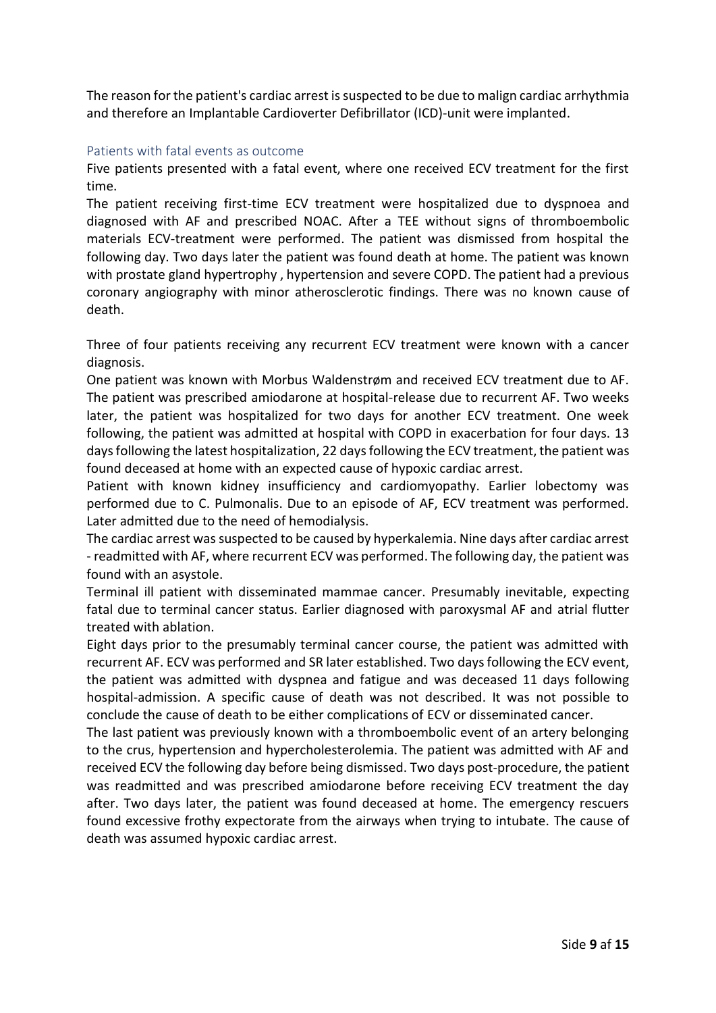The reason for the patient's cardiac arrest is suspected to be due to malign cardiac arrhythmia and therefore an Implantable Cardioverter Defibrillator (ICD)-unit were implanted.

#### Patients with fatal events as outcome

Five patients presented with a fatal event, where one received ECV treatment for the first time.

The patient receiving first-time ECV treatment were hospitalized due to dyspnoea and diagnosed with AF and prescribed NOAC. After a TEE without signs of thromboembolic materials ECV-treatment were performed. The patient was dismissed from hospital the following day. Two days later the patient was found death at home. The patient was known with prostate gland hypertrophy , hypertension and severe COPD. The patient had a previous coronary angiography with minor atherosclerotic findings. There was no known cause of death.

Three of four patients receiving any recurrent ECV treatment were known with a cancer diagnosis.

One patient was known with Morbus Waldenstrøm and received ECV treatment due to AF. The patient was prescribed amiodarone at hospital-release due to recurrent AF. Two weeks later, the patient was hospitalized for two days for another ECV treatment. One week following, the patient was admitted at hospital with COPD in exacerbation for four days. 13 days following the latest hospitalization, 22 days following the ECV treatment, the patient was found deceased at home with an expected cause of hypoxic cardiac arrest.

Patient with known kidney insufficiency and cardiomyopathy. Earlier lobectomy was performed due to C. Pulmonalis. Due to an episode of AF, ECV treatment was performed. Later admitted due to the need of hemodialysis.

The cardiac arrest was suspected to be caused by hyperkalemia. Nine days after cardiac arrest - readmitted with AF, where recurrent ECV was performed. The following day, the patient was found with an asystole.

Terminal ill patient with disseminated mammae cancer. Presumably inevitable, expecting fatal due to terminal cancer status. Earlier diagnosed with paroxysmal AF and atrial flutter treated with ablation.

Eight days prior to the presumably terminal cancer course, the patient was admitted with recurrent AF. ECV was performed and SR later established. Two days following the ECV event, the patient was admitted with dyspnea and fatigue and was deceased 11 days following hospital-admission. A specific cause of death was not described. It was not possible to conclude the cause of death to be either complications of ECV or disseminated cancer.

The last patient was previously known with a thromboembolic event of an artery belonging to the crus, hypertension and hypercholesterolemia. The patient was admitted with AF and received ECV the following day before being dismissed. Two days post-procedure, the patient was readmitted and was prescribed amiodarone before receiving ECV treatment the day after. Two days later, the patient was found deceased at home. The emergency rescuers found excessive frothy expectorate from the airways when trying to intubate. The cause of death was assumed hypoxic cardiac arrest.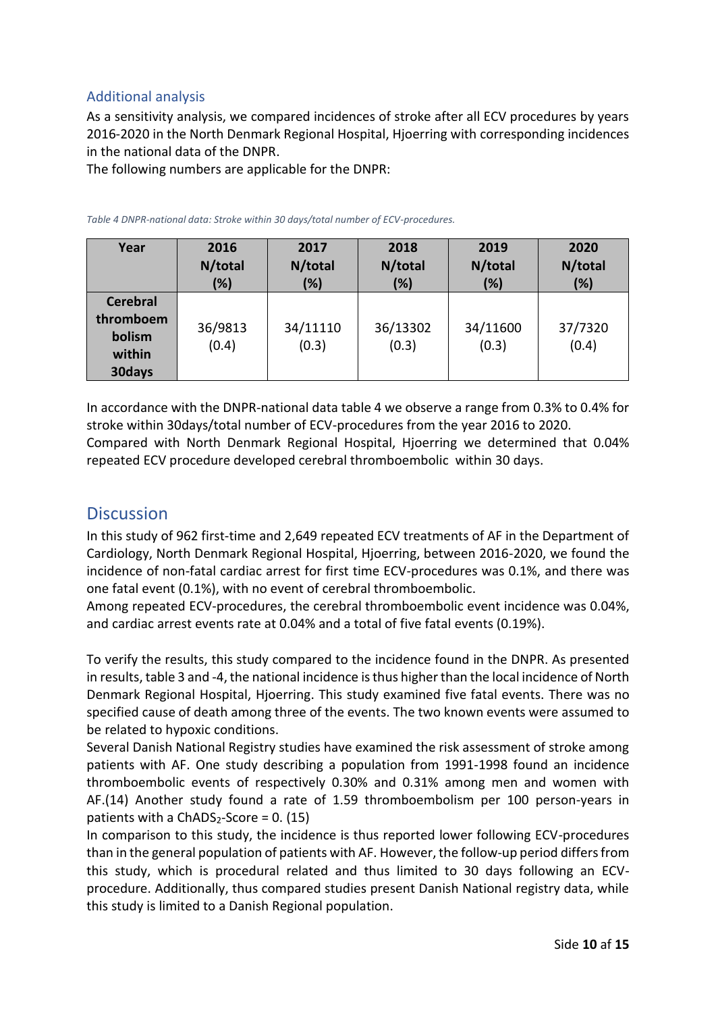### Additional analysis

As a sensitivity analysis, we compared incidences of stroke after all ECV procedures by years 2016-2020 in the North Denmark Regional Hospital, Hjoerring with corresponding incidences in the national data of the DNPR.

The following numbers are applicable for the DNPR:

| Year                                                       | 2016             | 2017              | 2018              | 2019              | 2020             |
|------------------------------------------------------------|------------------|-------------------|-------------------|-------------------|------------------|
|                                                            | N/total          | N/total           | N/total           | N/total           | N/total          |
|                                                            | (%)              | (%)               | (%)               | (%)               | (%)              |
| <b>Cerebral</b><br>thromboem<br>bolism<br>within<br>30days | 36/9813<br>(0.4) | 34/11110<br>(0.3) | 36/13302<br>(0.3) | 34/11600<br>(0.3) | 37/7320<br>(0.4) |

<span id="page-10-0"></span>*Table 4 DNPR-national data: Stroke within 30 days/total number of ECV-procedures.*

In accordance with the DNPR-national data table 4 we observe a range from 0.3% to 0.4% for stroke within 30days/total number of ECV-procedures from the year 2016 to 2020. Compared with North Denmark Regional Hospital, Hjoerring we determined that 0.04% repeated ECV procedure developed cerebral thromboembolic within 30 days.

## **Discussion**

In this study of 962 first-time and 2,649 repeated ECV treatments of AF in the Department of Cardiology, North Denmark Regional Hospital, Hjoerring, between 2016-2020, we found the incidence of non-fatal cardiac arrest for first time ECV-procedures was 0.1%, and there was one fatal event (0.1%), with no event of cerebral thromboembolic.

Among repeated ECV-procedures, the cerebral thromboembolic event incidence was 0.04%, and cardiac arrest events rate at 0.04% and a total of five fatal events (0.19%).

To verify the results, this study compared to the incidence found in the DNPR. As presented in results, table 3 and -4, the national incidence is thus higher than the local incidence of North Denmark Regional Hospital, Hjoerring. This study examined five fatal events. There was no specified cause of death among three of the events. The two known events were assumed to be related to hypoxic conditions.

Several Danish National Registry studies have examined the risk assessment of stroke among patients with AF. One study describing a population from 1991-1998 found an incidence thromboembolic events of respectively 0.30% and 0.31% among men and women with AF.(14) Another study found a rate of 1.59 thromboembolism per 100 person-years in patients with a  $ChADS<sub>2</sub>-Score = 0. (15)$ 

In comparison to this study, the incidence is thus reported lower following ECV-procedures than in the general population of patients with AF. However, the follow-up period differs from this study, which is procedural related and thus limited to 30 days following an ECVprocedure. Additionally, thus compared studies present Danish National registry data, while this study is limited to a Danish Regional population.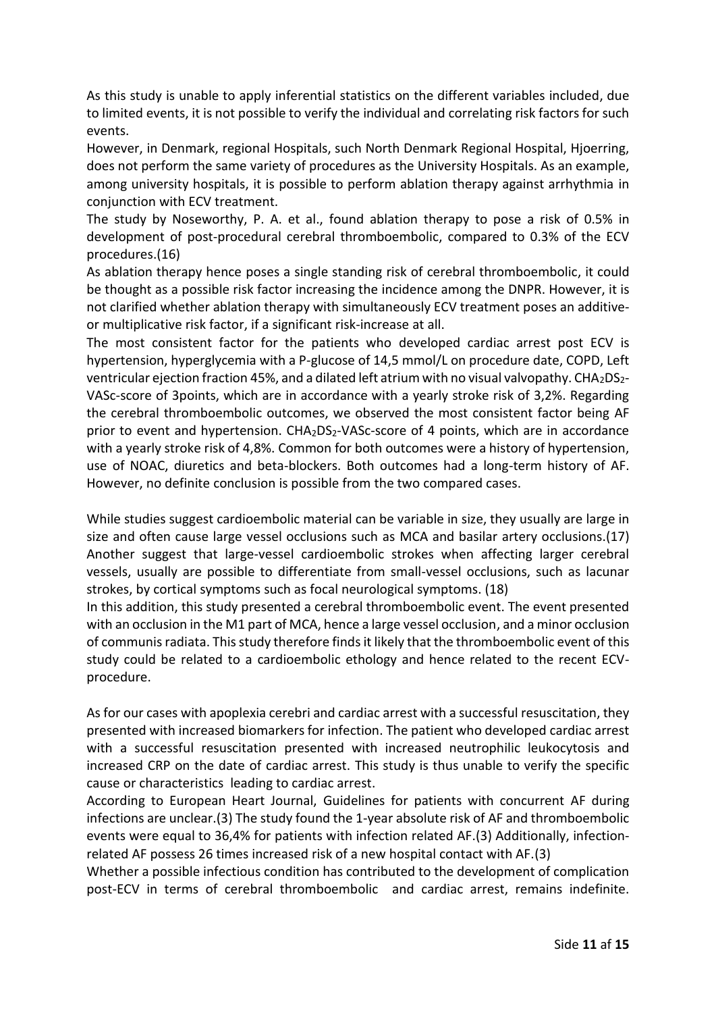As this study is unable to apply inferential statistics on the different variables included, due to limited events, it is not possible to verify the individual and correlating risk factors for such events.

However, in Denmark, regional Hospitals, such North Denmark Regional Hospital, Hjoerring, does not perform the same variety of procedures as the University Hospitals. As an example, among university hospitals, it is possible to perform ablation therapy against arrhythmia in conjunction with ECV treatment.

The study by Noseworthy, P. A. et al., found ablation therapy to pose a risk of 0.5% in development of post-procedural cerebral thromboembolic, compared to 0.3% of the ECV procedures.(16)

As ablation therapy hence poses a single standing risk of cerebral thromboembolic, it could be thought as a possible risk factor increasing the incidence among the DNPR. However, it is not clarified whether ablation therapy with simultaneously ECV treatment poses an additiveor multiplicative risk factor, if a significant risk-increase at all.

The most consistent factor for the patients who developed cardiac arrest post ECV is hypertension, hyperglycemia with a P-glucose of 14,5 mmol/L on procedure date, COPD, Left ventricular ejection fraction 45%, and a dilated left atrium with no visual valvopathy. CHA2DS2- VASc-score of 3points, which are in accordance with a yearly stroke risk of 3,2%. Regarding the cerebral thromboembolic outcomes, we observed the most consistent factor being AF prior to event and hypertension.  $CHA<sub>2</sub>DS<sub>2</sub>-VASC-score$  of 4 points, which are in accordance with a yearly stroke risk of 4,8%. Common for both outcomes were a history of hypertension, use of NOAC, diuretics and beta-blockers. Both outcomes had a long-term history of AF. However, no definite conclusion is possible from the two compared cases.

While studies suggest cardioembolic material can be variable in size, they usually are large in size and often cause large vessel occlusions such as MCA and basilar artery occlusions.(17) Another suggest that large-vessel cardioembolic strokes when affecting larger cerebral vessels, usually are possible to differentiate from small-vessel occlusions, such as lacunar strokes, by cortical symptoms such as focal neurological symptoms. (18)

In this addition, this study presented a cerebral thromboembolic event. The event presented with an occlusion in the M1 part of MCA, hence a large vessel occlusion, and a minor occlusion of communis radiata. This study therefore finds it likely that the thromboembolic event of this study could be related to a cardioembolic ethology and hence related to the recent ECVprocedure.

As for our cases with apoplexia cerebri and cardiac arrest with a successful resuscitation, they presented with increased biomarkers for infection. The patient who developed cardiac arrest with a successful resuscitation presented with increased neutrophilic leukocytosis and increased CRP on the date of cardiac arrest. This study is thus unable to verify the specific cause or characteristics leading to cardiac arrest.

According to European Heart Journal, Guidelines for patients with concurrent AF during infections are unclear.(3) The study found the 1-year absolute risk of AF and thromboembolic events were equal to 36,4% for patients with infection related AF.(3) Additionally, infectionrelated AF possess 26 times increased risk of a new hospital contact with AF.(3)

Whether a possible infectious condition has contributed to the development of complication post-ECV in terms of cerebral thromboembolic and cardiac arrest, remains indefinite.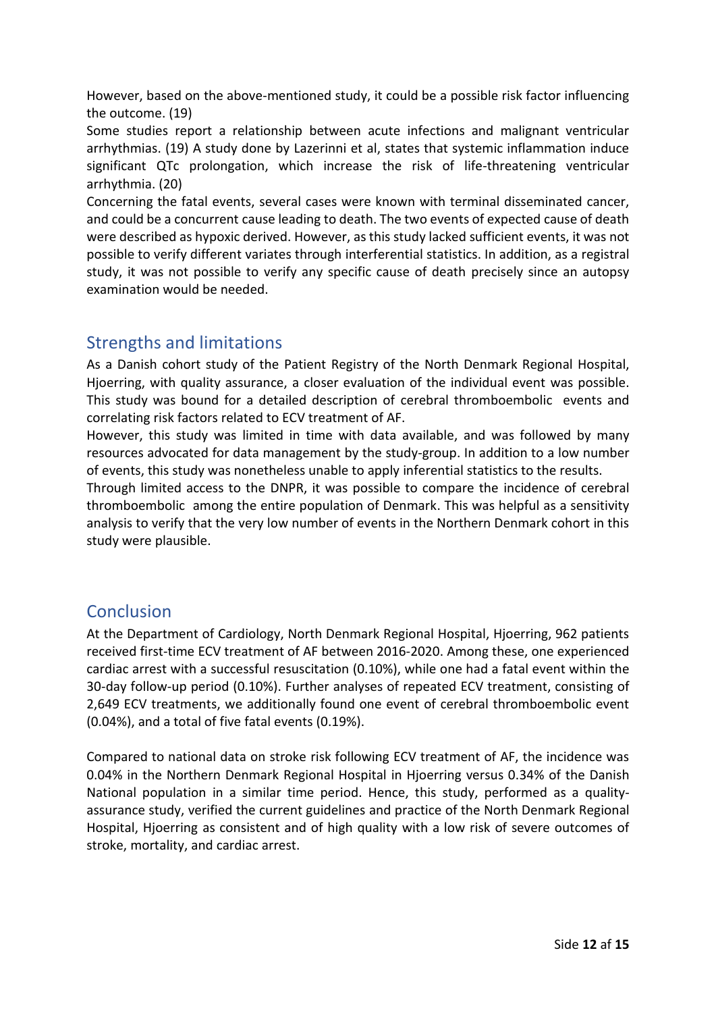However, based on the above-mentioned study, it could be a possible risk factor influencing the outcome. (19)

Some studies report a relationship between acute infections and malignant ventricular arrhythmias. (19) A study done by Lazerinni et al, states that systemic inflammation induce significant QTc prolongation, which increase the risk of life-threatening ventricular arrhythmia. (20)

Concerning the fatal events, several cases were known with terminal disseminated cancer, and could be a concurrent cause leading to death. The two events of expected cause of death were described as hypoxic derived. However, as this study lacked sufficient events, it was not possible to verify different variates through interferential statistics. In addition, as a registral study, it was not possible to verify any specific cause of death precisely since an autopsy examination would be needed.

# Strengths and limitations

As a Danish cohort study of the Patient Registry of the North Denmark Regional Hospital, Hjoerring, with quality assurance, a closer evaluation of the individual event was possible. This study was bound for a detailed description of cerebral thromboembolic events and correlating risk factors related to ECV treatment of AF.

However, this study was limited in time with data available, and was followed by many resources advocated for data management by the study-group. In addition to a low number of events, this study was nonetheless unable to apply inferential statistics to the results.

Through limited access to the DNPR, it was possible to compare the incidence of cerebral thromboembolic among the entire population of Denmark. This was helpful as a sensitivity analysis to verify that the very low number of events in the Northern Denmark cohort in this study were plausible.

# Conclusion

At the Department of Cardiology, North Denmark Regional Hospital, Hjoerring, 962 patients received first-time ECV treatment of AF between 2016-2020. Among these, one experienced cardiac arrest with a successful resuscitation (0.10%), while one had a fatal event within the 30-day follow-up period (0.10%). Further analyses of repeated ECV treatment, consisting of 2,649 ECV treatments, we additionally found one event of cerebral thromboembolic event (0.04%), and a total of five fatal events (0.19%).

Compared to national data on stroke risk following ECV treatment of AF, the incidence was 0.04% in the Northern Denmark Regional Hospital in Hjoerring versus 0.34% of the Danish National population in a similar time period. Hence, this study, performed as a qualityassurance study, verified the current guidelines and practice of the North Denmark Regional Hospital, Hjoerring as consistent and of high quality with a low risk of severe outcomes of stroke, mortality, and cardiac arrest.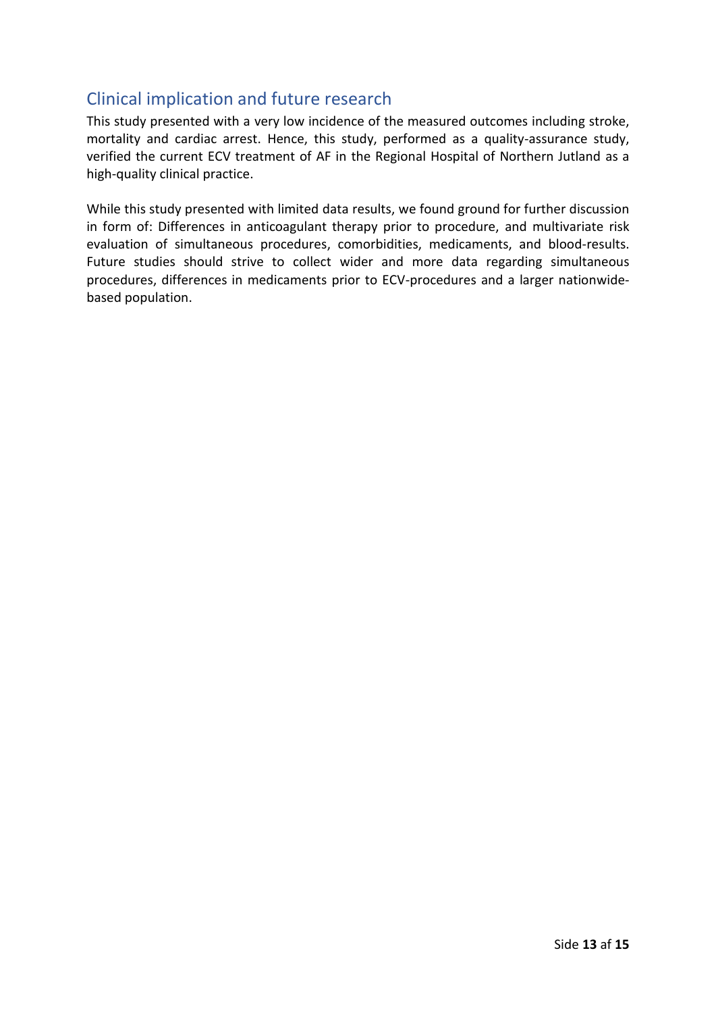# Clinical implication and future research

This study presented with a very low incidence of the measured outcomes including stroke, mortality and cardiac arrest. Hence, this study, performed as a quality-assurance study, verified the current ECV treatment of AF in the Regional Hospital of Northern Jutland as a high-quality clinical practice.

While this study presented with limited data results, we found ground for further discussion in form of: Differences in anticoagulant therapy prior to procedure, and multivariate risk evaluation of simultaneous procedures, comorbidities, medicaments, and blood-results. Future studies should strive to collect wider and more data regarding simultaneous procedures, differences in medicaments prior to ECV-procedures and a larger nationwidebased population.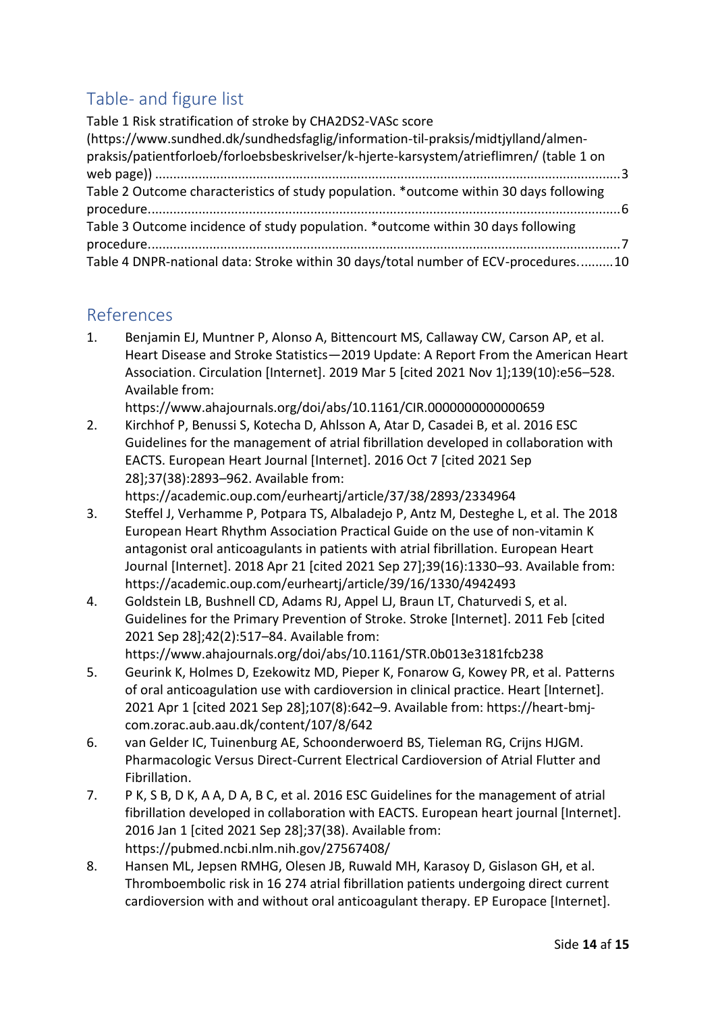# Table- and figure list

| Table 1 Risk stratification of stroke by CHA2DS2-VASc score                              |  |
|------------------------------------------------------------------------------------------|--|
| (https://www.sundhed.dk/sundhedsfaglig/information-til-praksis/midtjylland/almen-        |  |
| praksis/patientforloeb/forloebsbeskrivelser/k-hjerte-karsystem/atrieflimren/ (table 1 on |  |
|                                                                                          |  |
| Table 2 Outcome characteristics of study population. *outcome within 30 days following   |  |
|                                                                                          |  |
| Table 3 Outcome incidence of study population. *outcome within 30 days following         |  |
|                                                                                          |  |
| Table 4 DNPR-national data: Stroke within 30 days/total number of ECV-procedures10       |  |

## References

1. Benjamin EJ, Muntner P, Alonso A, Bittencourt MS, Callaway CW, Carson AP, et al. Heart Disease and Stroke Statistics—2019 Update: A Report From the American Heart Association. Circulation [Internet]. 2019 Mar 5 [cited 2021 Nov 1];139(10):e56–528. Available from:

https://www.ahajournals.org/doi/abs/10.1161/CIR.0000000000000659

2. Kirchhof P, Benussi S, Kotecha D, Ahlsson A, Atar D, Casadei B, et al. 2016 ESC Guidelines for the management of atrial fibrillation developed in collaboration with EACTS. European Heart Journal [Internet]. 2016 Oct 7 [cited 2021 Sep 28];37(38):2893–962. Available from:

https://academic.oup.com/eurheartj/article/37/38/2893/2334964

- 3. Steffel J, Verhamme P, Potpara TS, Albaladejo P, Antz M, Desteghe L, et al. The 2018 European Heart Rhythm Association Practical Guide on the use of non-vitamin K antagonist oral anticoagulants in patients with atrial fibrillation. European Heart Journal [Internet]. 2018 Apr 21 [cited 2021 Sep 27];39(16):1330–93. Available from: https://academic.oup.com/eurheartj/article/39/16/1330/4942493
- 4. Goldstein LB, Bushnell CD, Adams RJ, Appel LJ, Braun LT, Chaturvedi S, et al. Guidelines for the Primary Prevention of Stroke. Stroke [Internet]. 2011 Feb [cited 2021 Sep 28];42(2):517–84. Available from:
	- https://www.ahajournals.org/doi/abs/10.1161/STR.0b013e3181fcb238
- 5. Geurink K, Holmes D, Ezekowitz MD, Pieper K, Fonarow G, Kowey PR, et al. Patterns of oral anticoagulation use with cardioversion in clinical practice. Heart [Internet]. 2021 Apr 1 [cited 2021 Sep 28];107(8):642–9. Available from: https://heart-bmjcom.zorac.aub.aau.dk/content/107/8/642
- 6. van Gelder IC, Tuinenburg AE, Schoonderwoerd BS, Tieleman RG, Crijns HJGM. Pharmacologic Versus Direct-Current Electrical Cardioversion of Atrial Flutter and Fibrillation.
- 7. P K, S B, D K, A A, D A, B C, et al. 2016 ESC Guidelines for the management of atrial fibrillation developed in collaboration with EACTS. European heart journal [Internet]. 2016 Jan 1 [cited 2021 Sep 28];37(38). Available from: https://pubmed.ncbi.nlm.nih.gov/27567408/
- 8. Hansen ML, Jepsen RMHG, Olesen JB, Ruwald MH, Karasoy D, Gislason GH, et al. Thromboembolic risk in 16 274 atrial fibrillation patients undergoing direct current cardioversion with and without oral anticoagulant therapy. EP Europace [Internet].